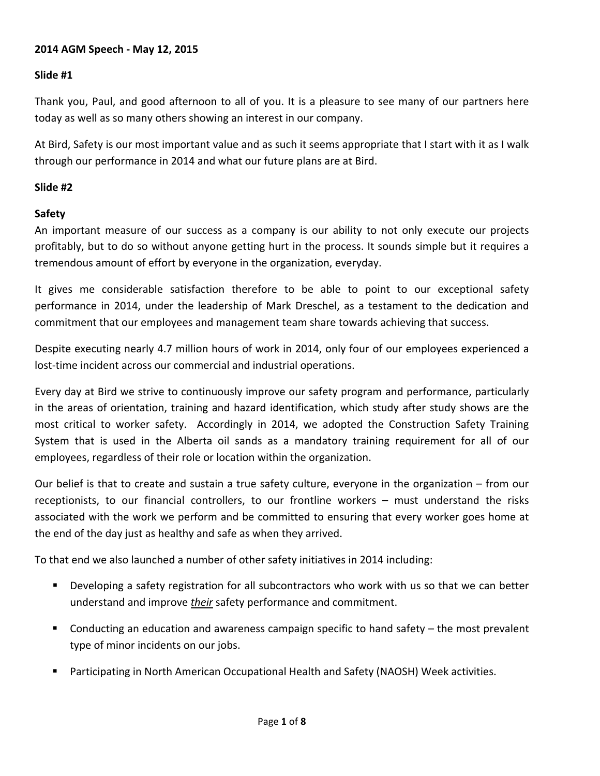#### **2014 AGM Speech ‐ May 12, 2015**

### **Slide #1**

Thank you, Paul, and good afternoon to all of you. It is a pleasure to see many of our partners here today as well as so many others showing an interest in our company.

At Bird, Safety is our most important value and as such it seems appropriate that I start with it as I walk through our performance in 2014 and what our future plans are at Bird.

#### **Slide #2**

#### **Safety**

An important measure of our success as a company is our ability to not only execute our projects profitably, but to do so without anyone getting hurt in the process. It sounds simple but it requires a tremendous amount of effort by everyone in the organization, everyday.

It gives me considerable satisfaction therefore to be able to point to our exceptional safety performance in 2014, under the leadership of Mark Dreschel, as a testament to the dedication and commitment that our employees and management team share towards achieving that success.

Despite executing nearly 4.7 million hours of work in 2014, only four of our employees experienced a lost-time incident across our commercial and industrial operations.

Every day at Bird we strive to continuously improve our safety program and performance, particularly in the areas of orientation, training and hazard identification, which study after study shows are the most critical to worker safety. Accordingly in 2014, we adopted the Construction Safety Training System that is used in the Alberta oil sands as a mandatory training requirement for all of our employees, regardless of their role or location within the organization.

Our belief is that to create and sustain a true safety culture, everyone in the organization – from our receptionists, to our financial controllers, to our frontline workers – must understand the risks associated with the work we perform and be committed to ensuring that every worker goes home at the end of the day just as healthy and safe as when they arrived.

To that end we also launched a number of other safety initiatives in 2014 including:

- Developing a safety registration for all subcontractors who work with us so that we can better understand and improve *their* safety performance and commitment.
- Conducting an education and awareness campaign specific to hand safety the most prevalent type of minor incidents on our jobs.
- Participating in North American Occupational Health and Safety (NAOSH) Week activities.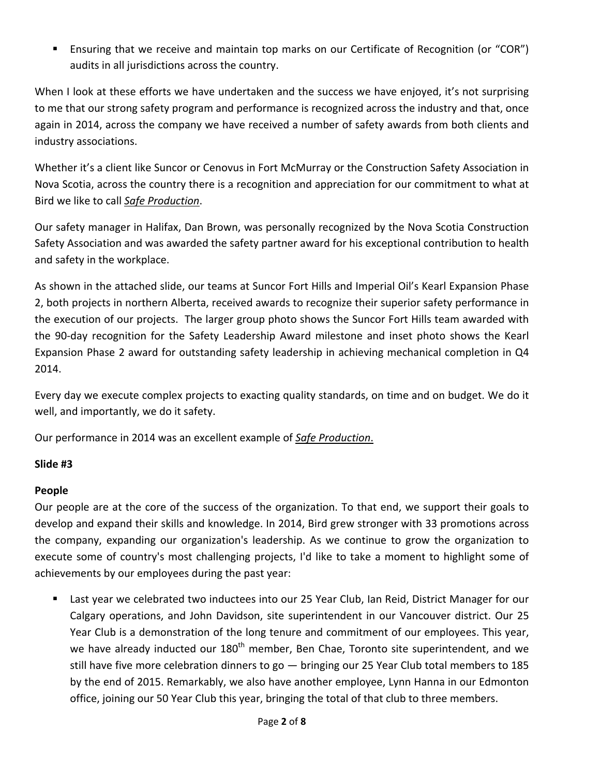Ensuring that we receive and maintain top marks on our Certificate of Recognition (or "COR") audits in all jurisdictions across the country.

When I look at these efforts we have undertaken and the success we have enjoyed, it's not surprising to me that our strong safety program and performance is recognized across the industry and that, once again in 2014, across the company we have received a number of safety awards from both clients and industry associations.

Whether it's a client like Suncor or Cenovus in Fort McMurray or the Construction Safety Association in Nova Scotia, across the country there is a recognition and appreciation for our commitment to what at Bird we like to call *Safe Production*.

Our safety manager in Halifax, Dan Brown, was personally recognized by the Nova Scotia Construction Safety Association and was awarded the safety partner award for his exceptional contribution to health and safety in the workplace.

As shown in the attached slide, our teams at Suncor Fort Hills and Imperial Oil's Kearl Expansion Phase 2, both projects in northern Alberta, received awards to recognize their superior safety performance in the execution of our projects. The larger group photo shows the Suncor Fort Hills team awarded with the 90‐day recognition for the Safety Leadership Award milestone and inset photo shows the Kearl Expansion Phase 2 award for outstanding safety leadership in achieving mechanical completion in Q4 2014.

Every day we execute complex projects to exacting quality standards, on time and on budget. We do it well, and importantly, we do it safety.

Our performance in 2014 was an excellent example of *Safe Production*.

### **Slide #3**

# **People**

Our people are at the core of the success of the organization. To that end, we support their goals to develop and expand their skills and knowledge. In 2014, Bird grew stronger with 33 promotions across the company, expanding our organization's leadership. As we continue to grow the organization to execute some of country's most challenging projects, I'd like to take a moment to highlight some of achievements by our employees during the past year:

 Last year we celebrated two inductees into our 25 Year Club, Ian Reid, District Manager for our Calgary operations, and John Davidson, site superintendent in our Vancouver district. Our 25 Year Club is a demonstration of the long tenure and commitment of our employees. This year, we have already inducted our 180<sup>th</sup> member, Ben Chae, Toronto site superintendent, and we still have five more celebration dinners to go — bringing our 25 Year Club total members to 185 by the end of 2015. Remarkably, we also have another employee, Lynn Hanna in our Edmonton office, joining our 50 Year Club this year, bringing the total of that club to three members.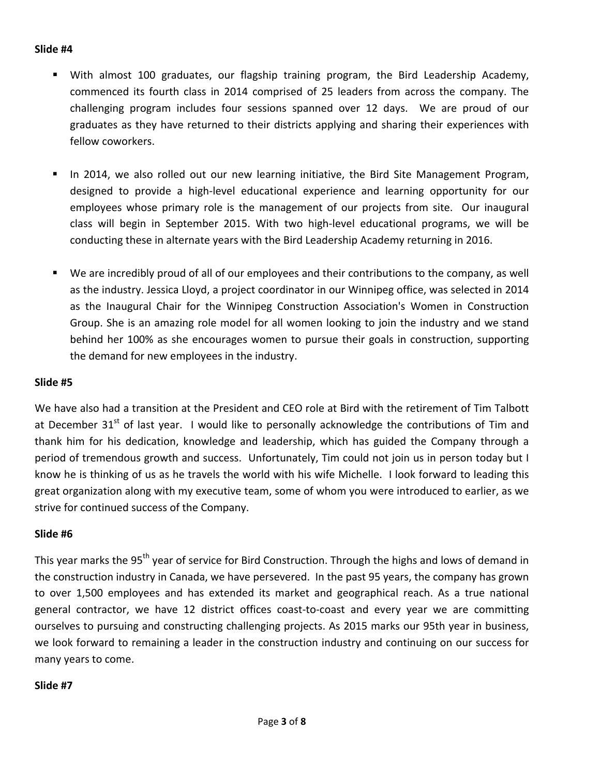#### **Slide #4**

- With almost 100 graduates, our flagship training program, the Bird Leadership Academy, commenced its fourth class in 2014 comprised of 25 leaders from across the company. The challenging program includes four sessions spanned over 12 days. We are proud of our graduates as they have returned to their districts applying and sharing their experiences with fellow coworkers.
- In 2014, we also rolled out our new learning initiative, the Bird Site Management Program, designed to provide a high‐level educational experience and learning opportunity for our employees whose primary role is the management of our projects from site. Our inaugural class will begin in September 2015. With two high‐level educational programs, we will be conducting these in alternate years with the Bird Leadership Academy returning in 2016.
- We are incredibly proud of all of our employees and their contributions to the company, as well as the industry. Jessica Lloyd, a project coordinator in our Winnipeg office, was selected in 2014 as the Inaugural Chair for the Winnipeg Construction Association's Women in Construction Group. She is an amazing role model for all women looking to join the industry and we stand behind her 100% as she encourages women to pursue their goals in construction, supporting the demand for new employees in the industry.

#### **Slide #5**

We have also had a transition at the President and CEO role at Bird with the retirement of Tim Talbott at December 31<sup>st</sup> of last year. I would like to personally acknowledge the contributions of Tim and thank him for his dedication, knowledge and leadership, which has guided the Company through a period of tremendous growth and success. Unfortunately, Tim could not join us in person today but I know he is thinking of us as he travels the world with his wife Michelle. I look forward to leading this great organization along with my executive team, some of whom you were introduced to earlier, as we strive for continued success of the Company.

#### **Slide #6**

This year marks the 95<sup>th</sup> year of service for Bird Construction. Through the highs and lows of demand in the construction industry in Canada, we have persevered. In the past 95 years, the company has grown to over 1,500 employees and has extended its market and geographical reach. As a true national general contractor, we have 12 district offices coast-to-coast and every year we are committing ourselves to pursuing and constructing challenging projects. As 2015 marks our 95th year in business, we look forward to remaining a leader in the construction industry and continuing on our success for many years to come.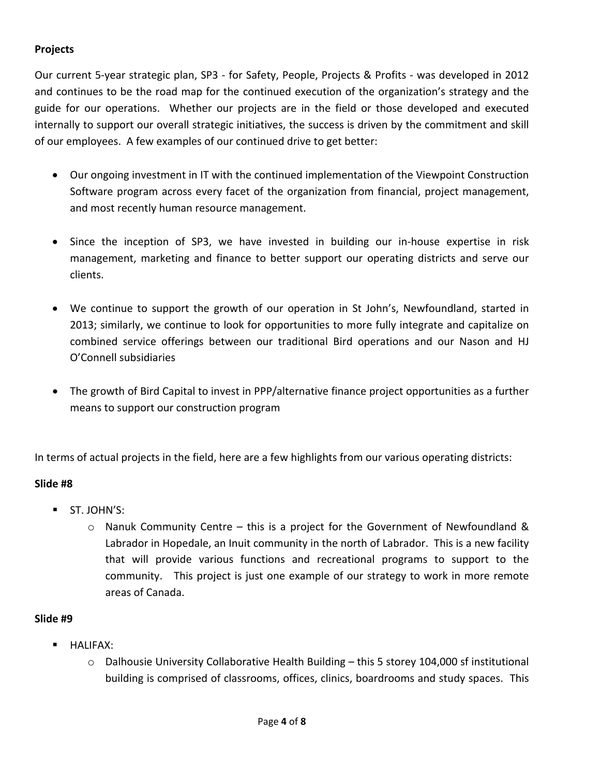# **Projects**

Our current 5‐year strategic plan, SP3 ‐ for Safety, People, Projects & Profits ‐ was developed in 2012 and continues to be the road map for the continued execution of the organization's strategy and the guide for our operations. Whether our projects are in the field or those developed and executed internally to support our overall strategic initiatives, the success is driven by the commitment and skill of our employees. A few examples of our continued drive to get better:

- Our ongoing investment in IT with the continued implementation of the Viewpoint Construction Software program across every facet of the organization from financial, project management, and most recently human resource management.
- Since the inception of SP3, we have invested in building our in-house expertise in risk management, marketing and finance to better support our operating districts and serve our clients.
- We continue to support the growth of our operation in St John's, Newfoundland, started in 2013; similarly, we continue to look for opportunities to more fully integrate and capitalize on combined service offerings between our traditional Bird operations and our Nason and HJ O'Connell subsidiaries
- The growth of Bird Capital to invest in PPP/alternative finance project opportunities as a further means to support our construction program

In terms of actual projects in the field, here are a few highlights from our various operating districts:

#### **Slide #8**

- $\blacksquare$  ST. IOHN'S:
	- $\circ$  Nanuk Community Centre this is a project for the Government of Newfoundland & Labrador in Hopedale, an Inuit community in the north of Labrador. This is a new facility that will provide various functions and recreational programs to support to the community. This project is just one example of our strategy to work in more remote areas of Canada.

- HALIFAX:
	- o Dalhousie University Collaborative Health Building this 5 storey 104,000 sf institutional building is comprised of classrooms, offices, clinics, boardrooms and study spaces. This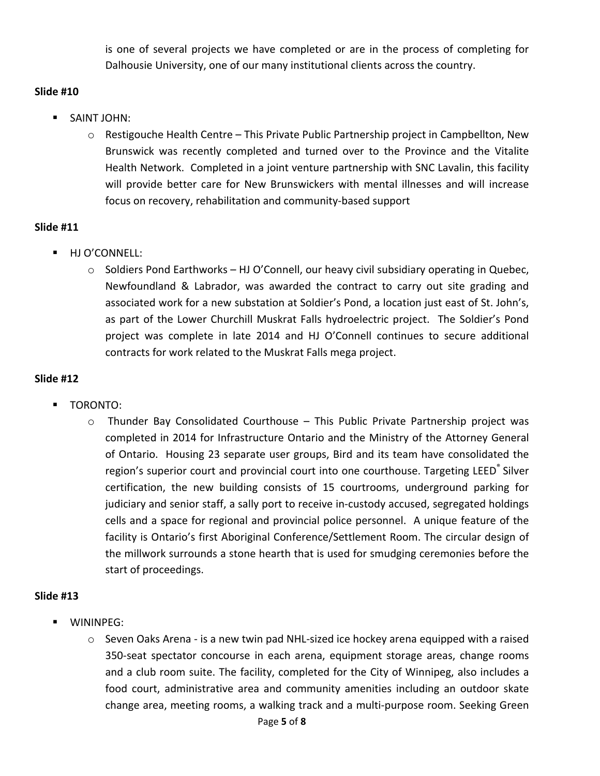is one of several projects we have completed or are in the process of completing for Dalhousie University, one of our many institutional clients across the country.

### **Slide #10**

- **SAINT JOHN:** 
	- o Restigouche Health Centre This Private Public Partnership project in Campbellton, New Brunswick was recently completed and turned over to the Province and the Vitalite Health Network. Completed in a joint venture partnership with SNC Lavalin, this facility will provide better care for New Brunswickers with mental illnesses and will increase focus on recovery, rehabilitation and community‐based support

### **Slide #11**

- **HJ O'CONNELL:** 
	- o Soldiers Pond Earthworks HJ O'Connell, our heavy civil subsidiary operating in Quebec, Newfoundland & Labrador, was awarded the contract to carry out site grading and associated work for a new substation at Soldier's Pond, a location just east of St. John's, as part of the Lower Churchill Muskrat Falls hydroelectric project. The Soldier's Pond project was complete in late 2014 and HJ O'Connell continues to secure additional contracts for work related to the Muskrat Falls mega project.

### **Slide #12**

- TORONTO:
	- $\circ$  Thunder Bay Consolidated Courthouse This Public Private Partnership project was completed in 2014 for Infrastructure Ontario and the Ministry of the Attorney General of Ontario. Housing 23 separate user groups, Bird and its team have consolidated the region's superior court and provincial court into one courthouse. Targeting LEED<sup>®</sup> Silver certification, the new building consists of 15 courtrooms, underground parking for judiciary and senior staff, a sally port to receive in‐custody accused, segregated holdings cells and a space for regional and provincial police personnel. A unique feature of the facility is Ontario's first Aboriginal Conference/Settlement Room. The circular design of the millwork surrounds a stone hearth that is used for smudging ceremonies before the start of proceedings.

- WININPEG:
	- o Seven Oaks Arena ‐ is a new twin pad NHL‐sized ice hockey arena equipped with a raised 350‐seat spectator concourse in each arena, equipment storage areas, change rooms and a club room suite. The facility, completed for the City of Winnipeg, also includes a food court, administrative area and community amenities including an outdoor skate change area, meeting rooms, a walking track and a multi‐purpose room. Seeking Green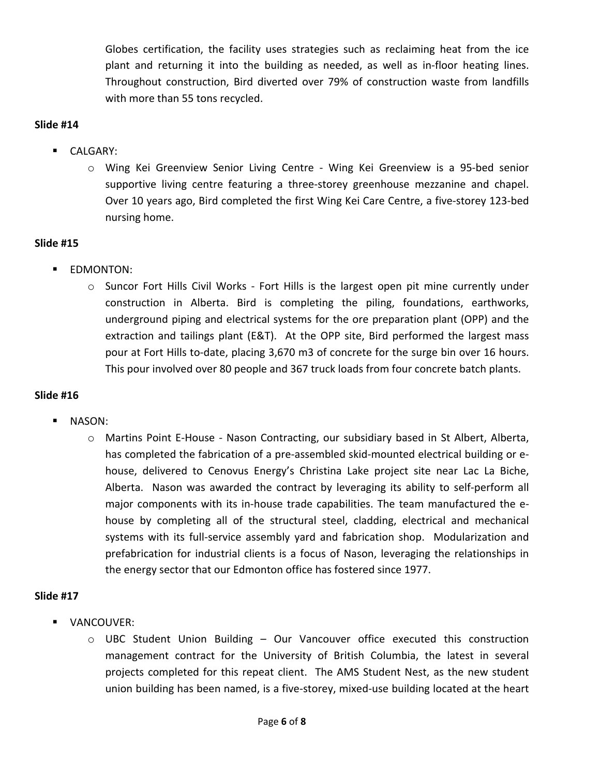Globes certification, the facility uses strategies such as reclaiming heat from the ice plant and returning it into the building as needed, as well as in‐floor heating lines. Throughout construction, Bird diverted over 79% of construction waste from landfills with more than 55 tons recycled.

#### **Slide #14**

- **CALGARY:** 
	- o Wing Kei Greenview Senior Living Centre ‐ Wing Kei Greenview is a 95‐bed senior supportive living centre featuring a three‐storey greenhouse mezzanine and chapel. Over 10 years ago, Bird completed the first Wing Kei Care Centre, a five‐storey 123‐bed nursing home.

### **Slide #15**

- **EDMONTON:** 
	- $\circ$  Suncor Fort Hills Civil Works Fort Hills is the largest open pit mine currently under construction in Alberta. Bird is completing the piling, foundations, earthworks, underground piping and electrical systems for the ore preparation plant (OPP) and the extraction and tailings plant (E&T). At the OPP site, Bird performed the largest mass pour at Fort Hills to‐date, placing 3,670 m3 of concrete for the surge bin over 16 hours. This pour involved over 80 people and 367 truck loads from four concrete batch plants.

### **Slide #16**

- NASON:
	- o Martins Point E‐House ‐ Nason Contracting, our subsidiary based in St Albert, Alberta, has completed the fabrication of a pre-assembled skid-mounted electrical building or ehouse, delivered to Cenovus Energy's Christina Lake project site near Lac La Biche, Alberta. Nason was awarded the contract by leveraging its ability to self-perform all major components with its in‐house trade capabilities. The team manufactured the e‐ house by completing all of the structural steel, cladding, electrical and mechanical systems with its full-service assembly yard and fabrication shop. Modularization and prefabrication for industrial clients is a focus of Nason, leveraging the relationships in the energy sector that our Edmonton office has fostered since 1977.

- VANCOUVER:
	- $\circ$  UBC Student Union Building Our Vancouver office executed this construction management contract for the University of British Columbia, the latest in several projects completed for this repeat client. The AMS Student Nest, as the new student union building has been named, is a five-storey, mixed-use building located at the heart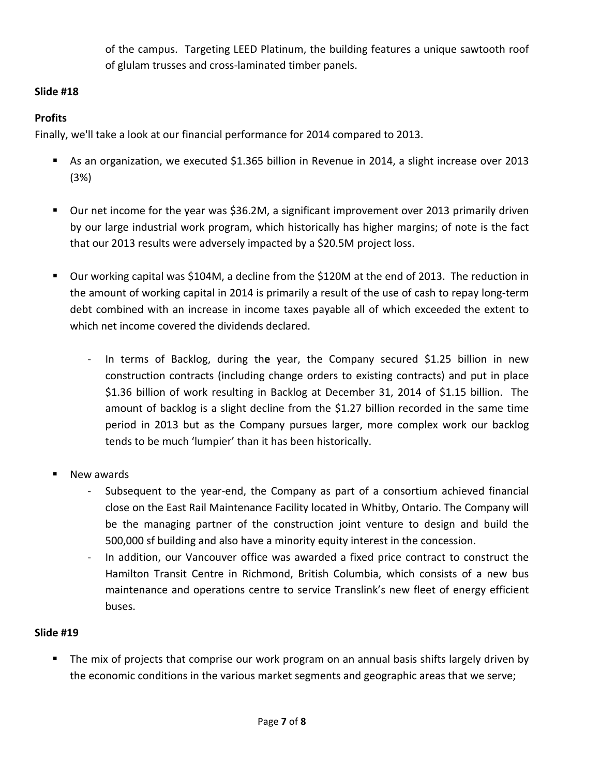of the campus. Targeting LEED Platinum, the building features a unique sawtooth roof of glulam trusses and cross‐laminated timber panels.

# **Slide #18**

# **Profits**

Finally, we'll take a look at our financial performance for 2014 compared to 2013.

- As an organization, we executed \$1.365 billion in Revenue in 2014, a slight increase over 2013 (3%)
- Our net income for the year was \$36.2M, a significant improvement over 2013 primarily driven by our large industrial work program, which historically has higher margins; of note is the fact that our 2013 results were adversely impacted by a \$20.5M project loss.
- Our working capital was \$104M, a decline from the \$120M at the end of 2013. The reduction in the amount of working capital in 2014 is primarily a result of the use of cash to repay long‐term debt combined with an increase in income taxes payable all of which exceeded the extent to which net income covered the dividends declared.
	- ‐ In terms of Backlog, during th**e** year, the Company secured \$1.25 billion in new construction contracts (including change orders to existing contracts) and put in place \$1.36 billion of work resulting in Backlog at December 31, 2014 of \$1.15 billion. The amount of backlog is a slight decline from the \$1.27 billion recorded in the same time period in 2013 but as the Company pursues larger, more complex work our backlog tends to be much 'lumpier' than it has been historically.
- New awards
	- ‐ Subsequent to the year‐end, the Company as part of a consortium achieved financial close on the East Rail Maintenance Facility located in Whitby, Ontario. The Company will be the managing partner of the construction joint venture to design and build the 500,000 sf building and also have a minority equity interest in the concession.
	- In addition, our Vancouver office was awarded a fixed price contract to construct the Hamilton Transit Centre in Richmond, British Columbia, which consists of a new bus maintenance and operations centre to service Translink's new fleet of energy efficient buses.

# **Slide #19**

 The mix of projects that comprise our work program on an annual basis shifts largely driven by the economic conditions in the various market segments and geographic areas that we serve;